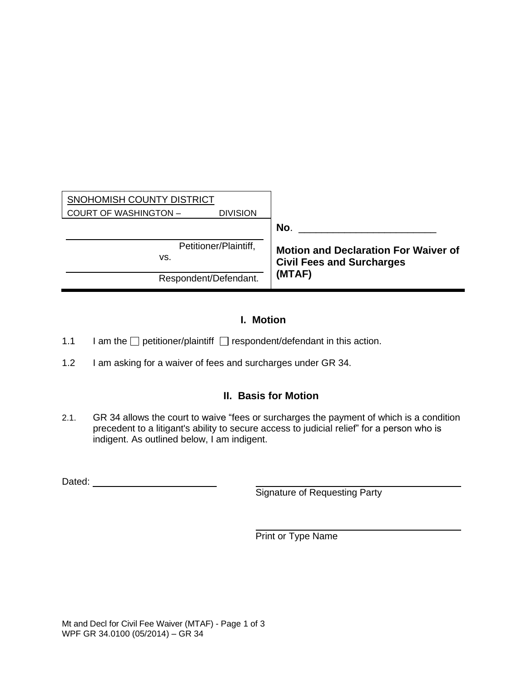| SNOHOMISH COUNTY DISTRICT<br><b>COURT OF WASHINGTON -</b><br><b>DIVISION</b> |                                                                                 |
|------------------------------------------------------------------------------|---------------------------------------------------------------------------------|
|                                                                              | No.                                                                             |
| Petitioner/Plaintiff,<br>vs.                                                 | <b>Motion and Declaration For Waiver of</b><br><b>Civil Fees and Surcharges</b> |
| Respondent/Defendant.                                                        | (MTAF)                                                                          |

## **I. Motion**

- 1.1 I am the  $\Box$  petitioner/plaintiff  $\Box$  respondent/defendant in this action.
- 1.2 I am asking for a waiver of fees and surcharges under GR 34.

## **II. Basis for Motion**

2.1. GR 34 allows the court to waive "fees or surcharges the payment of which is a condition precedent to a litigant's ability to secure access to judicial relief" for a person who is indigent. As outlined below, I am indigent.

Dated:

Signature of Requesting Party

Print or Type Name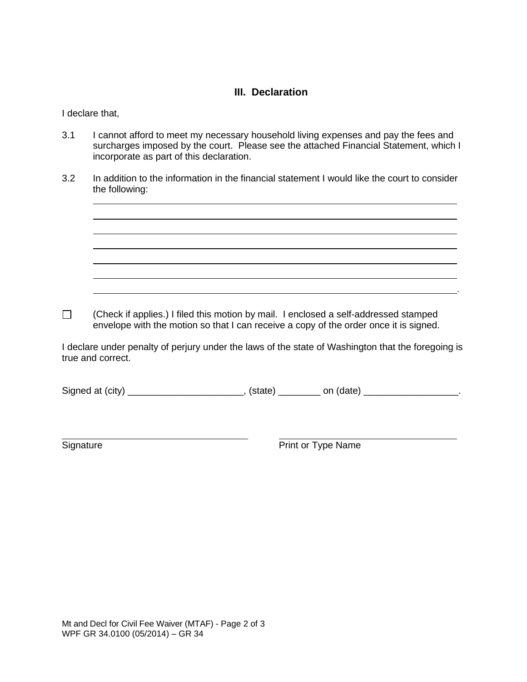## **III. Declaration**

I declare that,

- 3.1 I cannot afford to meet my necessary household living expenses and pay the fees and surcharges imposed by the court. Please see the attached Financial Statement, which I incorporate as part of this declaration.
- 3.2 In addition to the information in the financial statement I would like the court to consider the following:

(Check if applies.) I filed this motion by mail. I enclosed a self-addressed stamped  $\Box$ envelope with the motion so that I can receive a copy of the order once it is signed.

I declare under penalty of perjury under the laws of the state of Washington that the foregoing is true and correct.

Signed at (city) \_\_\_\_\_\_\_\_\_\_\_\_\_\_\_\_\_\_\_\_\_\_\_\_\_, (state) \_\_\_\_\_\_\_\_\_ on (date) \_\_\_\_\_\_\_\_\_\_\_\_\_\_\_\_\_\_\_.

Signature **Print or Type Name** 

.